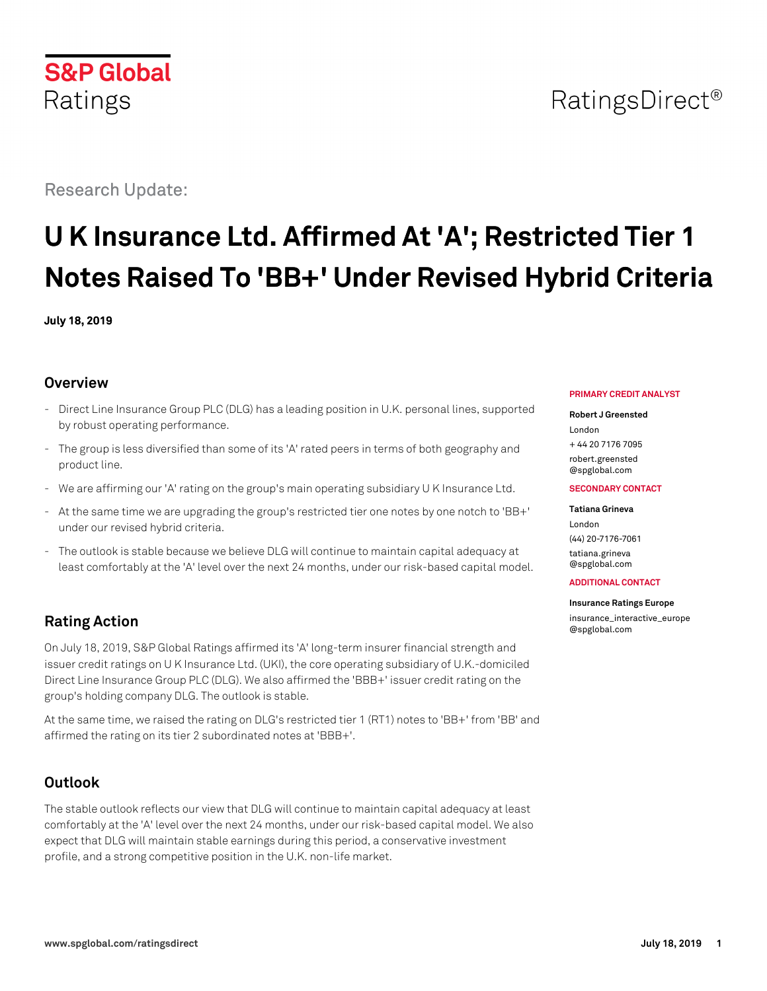# RatingsDirect<sup>®</sup>

Research Update:

**S&P Global** 

Ratings

# **U K Insurance Ltd. Affirmed At 'A'; Restricted Tier 1 Notes Raised To 'BB+' Under Revised Hybrid Criteria**

**July 18, 2019**

## **Overview**

- Direct Line Insurance Group PLC (DLG) has a leading position in U.K. personal lines, supported by robust operating performance.
- The group is less diversified than some of its 'A' rated peers in terms of both geography and product line.
- We are affirming our 'A' rating on the group's main operating subsidiary U K Insurance Ltd.
- At the same time we are upgrading the group's restricted tier one notes by one notch to 'BB+' under our revised hybrid criteria.
- The outlook is stable because we believe DLG will continue to maintain capital adequacy at least comfortably at the 'A' level over the next 24 months, under our risk-based capital model.

# **Rating Action**

On July 18, 2019, S&P Global Ratings affirmed its 'A' long-term insurer financial strength and issuer credit ratings on U K Insurance Ltd. (UKI), the core operating subsidiary of U.K.-domiciled Direct Line Insurance Group PLC (DLG). We also affirmed the 'BBB+' issuer credit rating on the group's holding company DLG. The outlook is stable.

At the same time, we raised the rating on DLG's restricted tier 1 (RT1) notes to 'BB+' from 'BB' and affirmed the rating on its tier 2 subordinated notes at 'BBB+'.

## **Outlook**

The stable outlook reflects our view that DLG will continue to maintain capital adequacy at least comfortably at the 'A' level over the next 24 months, under our risk-based capital model. We also expect that DLG will maintain stable earnings during this period, a conservative investment profile, and a strong competitive position in the U.K. non-life market.

#### **PRIMARY CREDIT ANALYST**

#### **Robert J Greensted**

London + 44 20 7176 7095 [robert.greensted](mailto:robert.greensted@spglobal.com) [@spglobal.com](mailto:robert.greensted@spglobal.com)

#### **SECONDARY CONTACT**

#### **Tatiana Grineva**

London (44) 20-7176-7061 [tatiana.grineva](mailto:tatiana.grineva@spglobal.com) [@spglobal.com](mailto:tatiana.grineva@spglobal.com)

#### **ADDITIONAL CONTACT**

#### **Insurance Ratings Europe**

[insurance\\_interactive\\_europe](mailto:insurance_interactive_europe@spglobal.com) [@spglobal.com](mailto:insurance_interactive_europe@spglobal.com)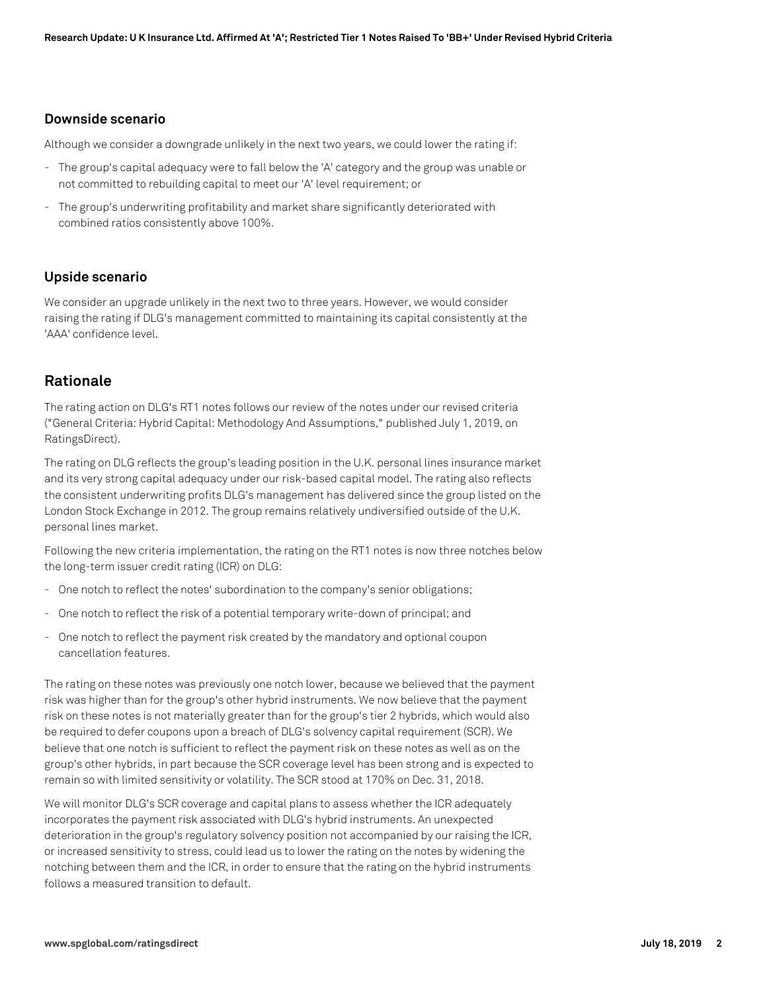### **Downside scenario**

Although we consider a downgrade unlikely in the next two years, we could lower the rating if:

- The group's capital adequacy were to fall below the 'A' category and the group was unable or not committed to rebuilding capital to meet our 'A' level requirement; or
- The group's underwriting profitability and market share significantly deteriorated with combined ratios consistently above 100%.

### **Upside scenario**

We consider an upgrade unlikely in the next two to three years. However, we would consider raising the rating if DLG's management committed to maintaining its capital consistently at the 'AAA' confidence level.

## **Rationale**

The rating action on DLG's RT1 notes follows our review of the notes under our revised criteria ("General Criteria: Hybrid Capital: Methodology And Assumptions," published July 1, 2019, on RatingsDirect).

The rating on DLG reflects the group's leading position in the U.K. personal lines insurance market and its very strong capital adequacy under our risk-based capital model. The rating also reflects the consistent underwriting profits DLG's management has delivered since the group listed on the London Stock Exchange in 2012. The group remains relatively undiversified outside of the U.K. personal lines market.

Following the new criteria implementation, the rating on the RT1 notes is now three notches below the long-term issuer credit rating (ICR) on DLG:

- One notch to reflect the notes' subordination to the company's senior obligations;
- One notch to reflect the risk of a potential temporary write-down of principal; and
- One notch to reflect the payment risk created by the mandatory and optional coupon cancellation features.

The rating on these notes was previously one notch lower, because we believed that the payment risk was higher than for the group's other hybrid instruments. We now believe that the payment risk on these notes is not materially greater than for the group's tier 2 hybrids, which would also be required to defer coupons upon a breach of DLG's solvency capital requirement (SCR). We believe that one notch is sufficient to reflect the payment risk on these notes as well as on the group's other hybrids, in part because the SCR coverage level has been strong and is expected to remain so with limited sensitivity or volatility. The SCR stood at 170% on Dec. 31, 2018.

We will monitor DLG's SCR coverage and capital plans to assess whether the ICR adequately incorporates the payment risk associated with DLG's hybrid instruments. An unexpected deterioration in the group's regulatory solvency position not accompanied by our raising the ICR, or increased sensitivity to stress, could lead us to lower the rating on the notes by widening the notching between them and the ICR, in order to ensure that the rating on the hybrid instruments follows a measured transition to default.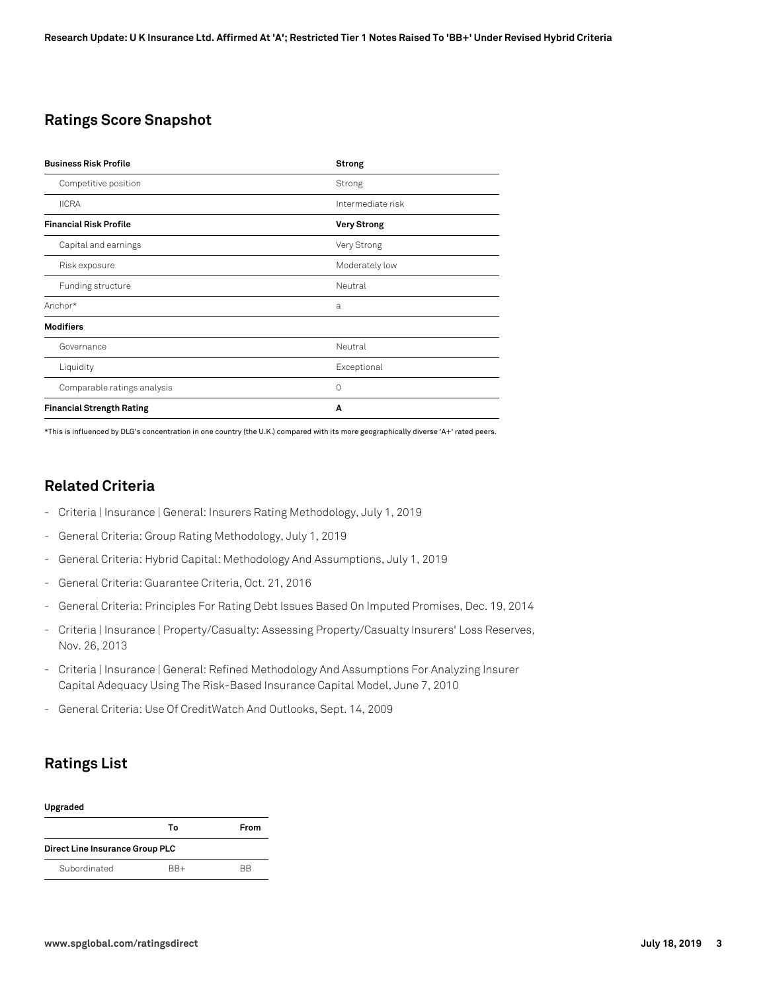## **Ratings Score Snapshot**

| <b>Business Risk Profile</b>     | <b>Strong</b>      |
|----------------------------------|--------------------|
| Competitive position             | Strong             |
| <b>IICRA</b>                     | Intermediate risk  |
| <b>Financial Risk Profile</b>    | <b>Very Strong</b> |
| Capital and earnings             | Very Strong        |
| Risk exposure                    | Moderately low     |
| Funding structure                | Neutral            |
| Anchor*                          | a                  |
| <b>Modifiers</b>                 |                    |
| Governance                       | Neutral            |
| Liquidity                        | Exceptional        |
| Comparable ratings analysis      | 0                  |
| <b>Financial Strength Rating</b> | A                  |

\*This is influenced by DLG's concentration in one country (the U.K.) compared with its more geographically diverse 'A+' rated peers.

## **Related Criteria**

- Criteria | Insurance | General: Insurers Rating Methodology, July 1, 2019
- General Criteria: Group Rating Methodology, July 1, 2019
- General Criteria: Hybrid Capital: Methodology And Assumptions, July 1, 2019
- General Criteria: Guarantee Criteria, Oct. 21, 2016
- General Criteria: Principles For Rating Debt Issues Based On Imputed Promises, Dec. 19, 2014
- Criteria | Insurance | Property/Casualty: Assessing Property/Casualty Insurers' Loss Reserves, Nov. 26, 2013
- Criteria | Insurance | General: Refined Methodology And Assumptions For Analyzing Insurer Capital Adequacy Using The Risk-Based Insurance Capital Model, June 7, 2010
- General Criteria: Use Of CreditWatch And Outlooks, Sept. 14, 2009

## **Ratings List**

| Upgraded                        |     |      |  |
|---------------------------------|-----|------|--|
|                                 | Т٥  | From |  |
| Direct Line Insurance Group PLC |     |      |  |
| Subordinated                    | RR+ | RR   |  |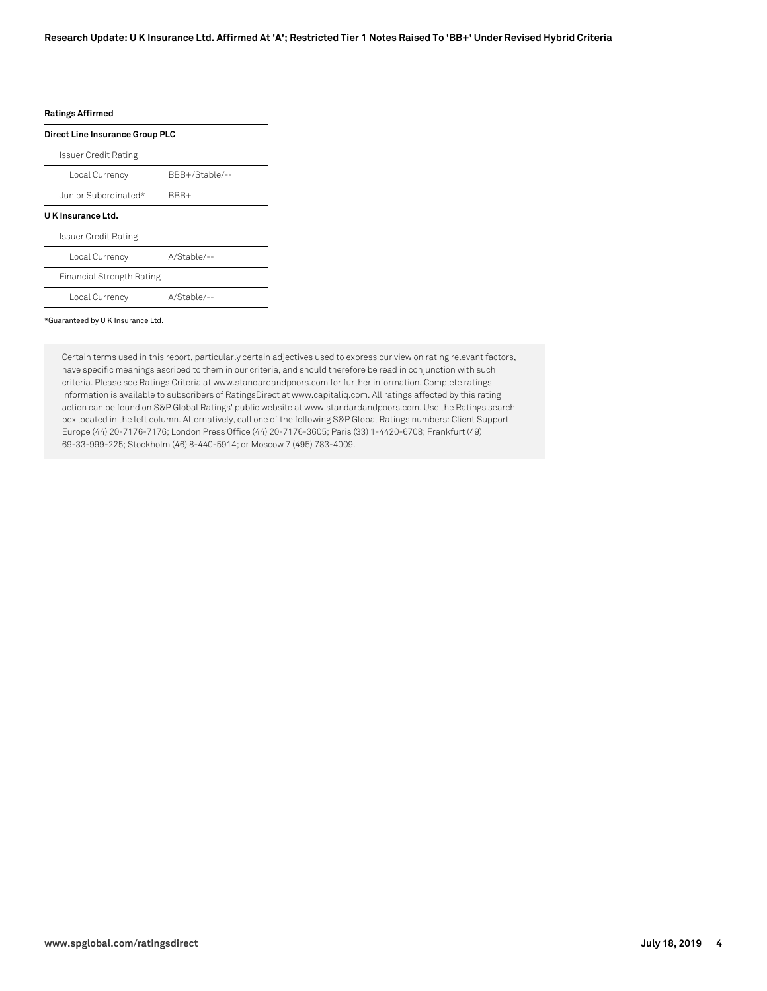#### **Ratings Affirmed**

| Direct Line Insurance Group PLC  |                |  |
|----------------------------------|----------------|--|
| <b>Issuer Credit Rating</b>      |                |  |
| Local Currency                   | BBB+/Stable/-- |  |
| Junior Subordinated*             | BBB+           |  |
| U K Insurance Ltd.               |                |  |
| Issuer Credit Rating             |                |  |
| Local Currency                   | A/Stable/--    |  |
| <b>Financial Strength Rating</b> |                |  |
| Local Currency                   | A/Stable/--    |  |

#### \*Guaranteed by U K Insurance Ltd.

Certain terms used in this report, particularly certain adjectives used to express our view on rating relevant factors, have specific meanings ascribed to them in our criteria, and should therefore be read in conjunction with such criteria. Please see Ratings Criteria at www.standardandpoors.com for further information. Complete ratings information is available to subscribers of RatingsDirect at www.capitaliq.com. All ratings affected by this rating action can be found on S&P Global Ratings' public website at www.standardandpoors.com. Use the Ratings search box located in the left column. Alternatively, call one of the following S&P Global Ratings numbers: Client Support Europe (44) 20-7176-7176; London Press Office (44) 20-7176-3605; Paris (33) 1-4420-6708; Frankfurt (49) 69-33-999-225; Stockholm (46) 8-440-5914; or Moscow 7 (495) 783-4009.